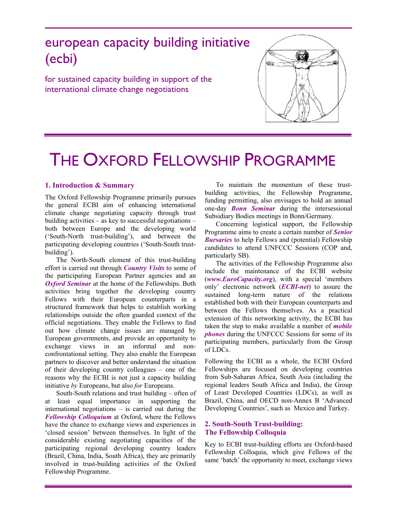# european capacity building initiative (ecbi)

for sustained capacity building in support of the international climate change negotiations



# THE OXFORD FELLOWSHIP PROGRAMME

#### **1. Introduction & Summary**

The Oxford Fellowship Programme primarily pursues the general ECBI aim of enhancing international climate change negotiating capacity through trust building activities – as key to successful negotiations – both between Europe and the developing world ('South-North trust-building'), and between the participating developing countries ('South-South trustbuilding').

The North-South element of this trust-building effort is carried out through *Country Visits* to some of the participating European Partner agencies and an *Oxford Seminar* at the home of the Fellowships. Both activities bring together the developing country Fellows with their European counterparts in a structured framework that helps to establish working relationships outside the often guarded context of the official negotiations. They enable the Fellows to find out how climate change issues are managed by European governments, and provide an opportunity to exchange views in an informal and nonconfrontational setting. They also enable the European partners to discover and better understand the situation of their developing country colleagues – one of the reasons why the ECBI is not just a capacity building initiative *by* Europeans, but also *for* Europeans.

South-South relations and trust building – often of at least equal importance in supporting the international negotiations – is carried out during the *Fellowship Colloquium* at Oxford, where the Fellows have the chance to exchange views and experiences in 'closed session' between themselves. In light of the considerable existing negotiating capacities of the participating regional developing country leaders (Brazil, China, India, South Africa), they are primarily involved in trust-building activities of the Oxford Fellowship Programme.

To maintain the momentum of these trustbuilding activities, the Fellowship Programme, funding permitting, also envisages to hold an annual one-day *Bonn Seminar* during the intersessional Subsidiary Bodies meetings in Bonn/Germany.

Concerning logistical support, the Fellowship Programme aims to create a certain number of *Senior Bursaries* to help Fellows and (potential) Fellowship candidates to attend UNFCCC Sessions (COP and, particularly SB).

The activities of the Fellowship Programme also include the maintenance of the ECBI website (*www.EuroCapacity.org*), with a special 'members only' electronic network (*ECBI-net*) to assure the sustained long-term nature of the relations established both with their European counterparts and between the Fellows themselves. As a practical extension of this networking activity, the ECBI has taken the step to make available a number of *mobile phones* during the UNFCCC Sessions for some of its participating members, particularly from the Group of LDCs.

Following the ECBI as a whole, the ECBI Oxford Fellowships are focused on developing countries from Sub-Saharan Africa, South Asia (including the regional leaders South Africa and India), the Group of Least Developed Countries (LDCs), as well as Brazil, China, and OECD non-Annex B 'Advanced Developing Countries', such as Mexico and Turkey.

#### **2. South-South Trust-building: The Fellowship Colloquia**

Key to ECBI trust-building efforts are Oxford-based Fellowship Colloquia, which give Fellows of the same 'batch' the opportunity to meet, exchange views